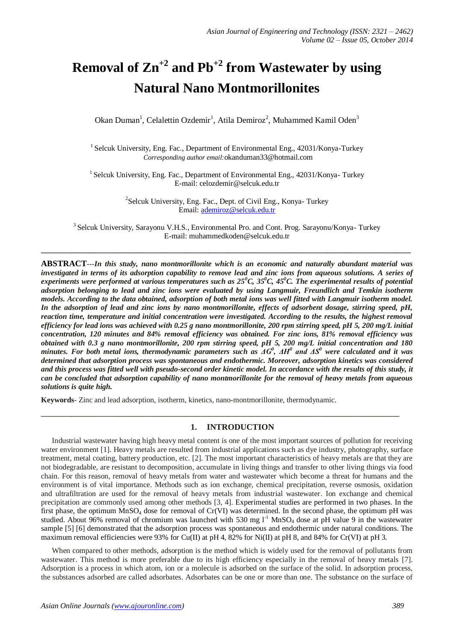# **Removal of Zn+2 and Pb+2 from Wastewater by using Natural Nano Montmorillonites**

Okan Duman<sup>1</sup>, Celalettin Ozdemir<sup>1</sup>, Atila Demiroz<sup>2</sup>, Muhammed Kamil Oden<sup>3</sup>

<sup>1</sup> Selcuk University, Eng. Fac., Department of Environmental Eng., 42031/Konya-Turkey *Corresponding author email:*[okanduman33@hotmail.com](mailto:okanduman33@hotmail.com)

 $1$  Selcuk University, Eng. Fac., Department of Environmental Eng., 42031/Konya-Turkey E-mail: [celozdemir@selcuk.edu.tr](mailto:celozdemir@selcuk.edu.tr)

> <sup>2</sup>Selcuk University, Eng. Fac., Dept. of Civil Eng., Konya- Turkey Email[: ademiroz@selcuk.edu.tr](mailto:ademiroz@selcuk.edu.tr)

<sup>3</sup> Selcuk University, Sarayonu V.H.S., Environmental Pro. and Cont. Prog. Sarayonu/Konya-Turkey E-mail: [muhammedkoden@selcuk.edu.tr](mailto:muhammedkoden@selcuk.edu.tr)

**\_\_\_\_\_\_\_\_\_\_\_\_\_\_\_\_\_\_\_\_\_\_\_\_\_\_\_\_\_\_\_\_\_\_\_\_\_\_\_\_\_\_\_\_\_\_\_\_\_\_\_\_\_\_\_\_\_\_\_\_\_\_\_\_\_\_\_\_\_\_\_\_\_\_\_\_\_\_\_\_\_\_\_\_\_\_\_\_\_\_\_\_\_\_\_\_\_**

**ABSTRACT**---*In this study, nano montmorillonite which is an economic and naturally abundant material was investigated in terms of its adsorption capability to remove lead and zinc ions from aqueous solutions. A series of experiments were performed at various temperatures such as 25<sup>0</sup>C, 35<sup>0</sup>C, 45<sup>0</sup>C. The experimental results of potential adsorption belonging to lead and zinc ions were evaluated by using Langmuir, Freundlich and Temkin isotherm models. According to the data obtained, adsorption of both metal ions was well fitted with Langmuir isotherm model. In the adsorption of lead and zinc ions by nano montmorillonite, effects of adsorbent dosage, stirring speed, pH, reaction time, temperature and initial concentration were investigated. According to the results, the highest removal efficiency for lead ions was achieved with 0.25 g nano montmorillonite, 200 rpm stirring speed, pH 5, 200 mg/L initial concentration, 120 minutes and 84% removal efficiency was obtained. For zinc ions, 81% removal efficiency was obtained with 0.3 g nano montmorillonite, 200 rpm stirring speed, pH 5, 200 mg/L initial concentration and 180 minutes. For both metal ions, thermodynamic parameters such as*  $\Delta G^0$ *,*  $\Delta H^0$  *and*  $\Delta S^0$  *were calculated and it was determined that adsorption process was spontaneous and endothermic. Moreover, adsorption kinetics was considered and this process was fitted well with pseudo-second order kinetic model. In accordance with the results of this study, it can be concluded that adsorption capability of nano montmorillonite for the removal of heavy metals from aqueous solutions is quite high.*

**Keywords**- Zinc and lead adsorption, isotherm, kinetics, nano-montmorillonite, thermodynamic.

# **1. INTRODUCTION**

**\_\_\_\_\_\_\_\_\_\_\_\_\_\_\_\_\_\_\_\_\_\_\_\_\_\_\_\_\_\_\_\_\_\_\_\_\_\_\_\_\_\_\_\_\_\_\_\_\_\_\_\_\_\_\_\_\_\_\_\_\_\_\_\_\_\_\_\_\_\_\_\_\_\_\_\_\_\_\_\_\_\_\_\_\_\_\_\_\_\_\_\_\_\_**

Industrial wastewater having high heavy metal content is one of the most important sources of pollution for receiving water environment [1]. Heavy metals are resulted from industrial applications such as dye industry, photography, surface treatment, metal coating, battery production, etc. [2]. The most important characteristics of heavy metals are that they are not biodegradable, are resistant to decomposition, accumulate in living things and transfer to other living things via food chain. For this reason, removal of heavy metals from water and wastewater which become a threat for humans and the environment is of vital importance. Methods such as ion exchange, chemical precipitation, reverse osmosis, oxidation and ultrafiltration are used for the removal of heavy metals from industrial wastewater. Ion exchange and chemical precipitation are commonly used among other methods [3, 4]. Experimental studies are performed in two phases. In the first phase, the optimum  $MnSO_4$  dose for removal of Cr(VI) was determined. In the second phase, the optimum pH was studied. About 96% removal of chromium was launched with 530 mg  $1<sup>-1</sup>$  MnSO<sub>4</sub> dose at pH value 9 in the wastewater sample [5] [6] demonstrated that the adsorption process was spontaneous and endothermic under natural conditions. The maximum removal efficiencies were 93% for Cu(II) at pH 4, 82% for Ni(II) at pH 8, and 84% for Cr(VI) at pH 3.

When compared to other methods, adsorption is the method which is widely used for the removal of pollutants from wastewater. This method is more preferable due to its high efficiency especially in the removal of heavy metals [7]. Adsorption is a process in which atom, ion or a molecule is adsorbed on the surface of the solid. In adsorption process, the substances adsorbed are called adsorbates. Adsorbates can be one or more than one. The substance on the surface of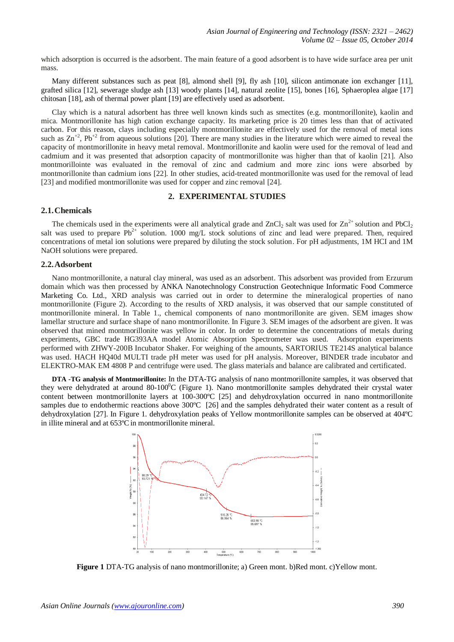which adsorption is occurred is the adsorbent. The main feature of a good adsorbent is to have wide surface area per unit mass.

Many different substances such as peat [8], almond shell [9], fly ash [10], silicon antimonate ion exchanger [11], grafted silica [12], sewerage sludge ash [13] woody plants [14], natural zeolite [15], bones [16], Sphaeroplea algae [17] chitosan [18], ash of thermal power plant [19] are effectively used as adsorbent.

Clay which is a natural adsorbent has three well known kinds such as smectites (e.g. montmorillonite), kaolin and mica. Montmorillonite has high cation exchange capacity. Its marketing price is 20 times less than that of activated carbon. For this reason, clays including especially montmorillonite are effectively used for the removal of metal ions such as  $\text{Zn}^{+2}$ , Pb<sup>+2</sup> from aqueous solutions [20]. There are many studies in the literature which were aimed to reveal the capacity of montmorillonite in heavy metal removal. Montmorillonite and kaolin were used for the removal of lead and cadmium and it was presented that adsorption capacity of montmorillonite was higher than that of kaolin [21]. Also montmorillointe was evaluated in the removal of zinc and cadmium and more zinc ions were absorbed by montmorillonite than cadmium ions [22]. In other studies, acid-treated montmorillonite was used for the removal of lead [23] and modified montmorillonite was used for copper and zinc removal [24].

## **2. EXPERIMENTAL STUDIES**

#### **2.1.Chemicals**

The chemicals used in the experiments were all analytical grade and  $ZnCl_2$  salt was used for  $Zn^{2+}$  solution and PbCl, salt was used to prepare  $Pb^{2+}$  solution. 1000 mg/L stock solutions of zinc and lead were prepared. Then, required concentrations of metal ion solutions were prepared by diluting the stock solution. For pH adjustments, 1M HCI and 1M NaOH solutions were prepared.

#### **2.2.Adsorbent**

Nano montmorillonite, a natural clay mineral, was used as an adsorbent. This adsorbent was provided from Erzurum domain which was then processed by ANKA Nanotechnology Construction Geotechnique Informatic Food Commerce Marketing Co. Ltd., XRD analysis was carried out in order to determine the mineralogical properties of nano montmorillonite (Figure 2). According to the results of XRD analysis, it was observed that our sample constituted of montmorillonite mineral. In Table 1., chemical components of nano montmorillonite are given. SEM images show lamellar structure and surface shape of nano montmorillonite. In Figure 3. SEM images of the adsorbent are given. It was observed that mined montmorillonite was yellow in color. In order to determine the concentrations of metals during experiments, GBC trade HG393AA model Atomic Absorption Spectrometer was used. Adsorption experiments performed with ZHWY-200B Incubator Shaker. For weighing of the amounts, SARTORIUS TE214S analytical balance was used. HACH HQ40d MULTI trade pH meter was used for pH analysis. Moreover, BINDER trade incubator and ELEKTRO-MAK EM 4808 P and centrifuge were used. The glass materials and balance are calibrated and certificated.

**DTA -TG analysis of Montmorillonite:** In the DTA-TG analysis of nano montmorillonite samples, it was observed that they were dehydrated at around 80-100<sup>o</sup>C (Figure 1). Nano montmorillonite samples dehydrated their crystal water content between montmorillonite layers at 100-300ºC [25] and dehydroxylation occurred in nano montmorillonite samples due to endothermic reactions above 300°C [26] and the samples dehydrated their water content as a result of dehydroxylation [27]. In Figure 1. dehydroxylation peaks of Yellow montmorillonite samples can be observed at 404ºC in illite mineral and at 653ºC in montmorillonite mineral.



**Figure 1** DTA-TG analysis of nano montmorillonite; a) Green mont. b)Red mont. c)Yellow mont.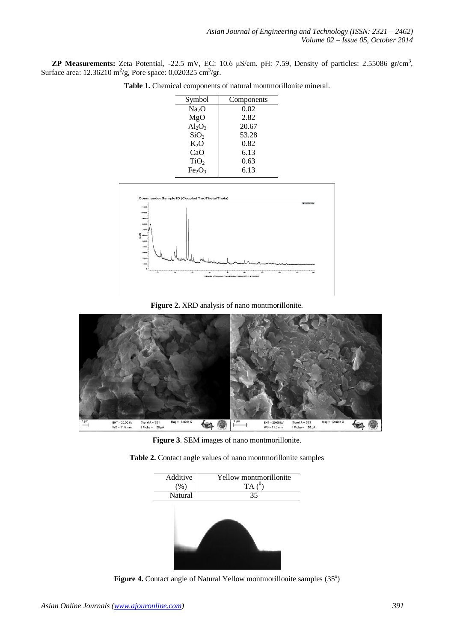**ZP Measurements:** Zeta Potential,  $-22.5$  mV, EC: 10.6  $\mu$ S/cm, pH: 7.59, Density of particles: 2.55086 gr/cm<sup>3</sup>, Surface area:  $12.36210 \text{ m}^2/\text{g}$ , Pore space: 0,020325 cm<sup>3</sup>/gr.

| Symbol                         | Components |
|--------------------------------|------------|
| Na <sub>2</sub> O              | 0.02       |
| MgO                            | 2.82       |
| $Al_2O_3$                      | 20.67      |
| SiO <sub>2</sub>               | 53.28      |
| $K_2O$                         | 0.82       |
| CaO                            | 6.13       |
| TiO <sub>2</sub>               | 0.63       |
| Fe <sub>2</sub> O <sub>3</sub> | 6.13       |
|                                |            |

**Table 1.** Chemical components of natural montmorillonite mineral.



**Figure 2.** XRD analysis of nano montmorillonite.



**Figure 3**. SEM images of nano montmorillonite.

**Table 2.** Contact angle values of nano montmorillonite samples



Figure 4. Contact angle of Natural Yellow montmorillonite samples (35°)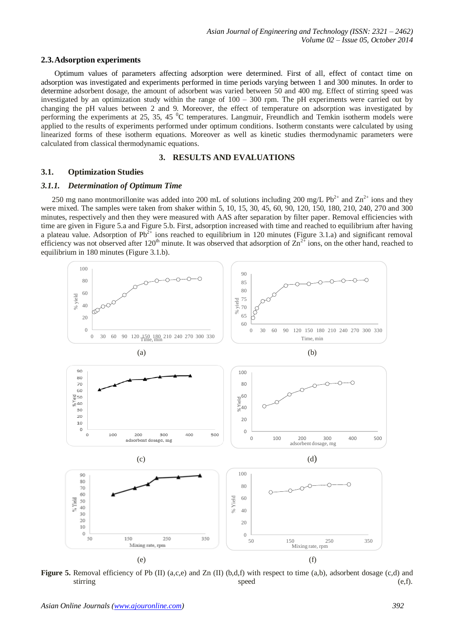#### **2.3.Adsorption experiments**

Optimum values of parameters affecting adsorption were determined. First of all, effect of contact time on adsorption was investigated and experiments performed in time periods varying between 1 and 300 minutes. In order to determine adsorbent dosage, the amount of adsorbent was varied between 50 and 400 mg. Effect of stirring speed was investigated by an optimization study within the range of 100 – 300 rpm. The pH experiments were carried out by changing the pH values between 2 and 9. Moreover, the effect of temperature on adsorption was investigated by performing the experiments at 25, 35, 45 <sup>0</sup>C temperatures. Langmuir, Freundlich and Temkin isotherm models were applied to the results of experiments performed under optimum conditions. Isotherm constants were calculated by using linearized forms of these isotherm equations. Moreover as well as kinetic studies thermodynamic parameters were calculated from classical thermodynamic equations.

## **3. RESULTS AND EVALUATIONS**

## **3.1. Optimization Studies**

## *3.1.1. Determination of Optimum Time*

250 mg nano montmorillonite was added into 200 mL of solutions including 200 mg/L Pb<sup>2+</sup> and  $\text{Zn}^{2+}$  ions and they were mixed. The samples were taken from shaker within 5, 10, 15, 30, 45, 60, 90, 120, 150, 180, 210, 240, 270 and 300 minutes, respectively and then they were measured with AAS after separation by filter paper. Removal efficiencies with time are given in Figure 5.a and Figure 5.b. First, adsorption increased with time and reached to equilibrium after having a plateau value. Adsorption of  $Pb^{2+}$  ions reached to equilibrium in 120 minutes (Figure 3.1.a) and significant removal efficiency was not observed after  $120^{th}$  minute. It was observed that adsorption of  $\text{Zn}^{2+}$  ions, on the other hand, reached to equilibrium in 180 minutes (Figure 3.1.b).



**Figure** 5. Removal efficiency of Pb (II) (a,c,e) and Zn (II) (b,d,f) with respect to time (a,b), adsorbent dosage (c,d) and stirring speed (e,f).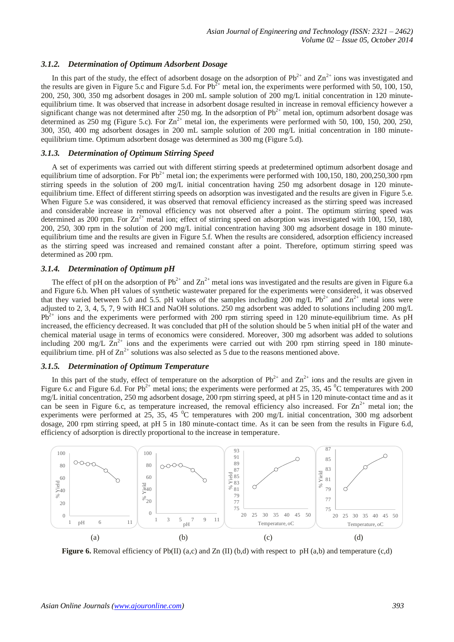## *3.1.2. Determination of Optimum Adsorbent Dosage*

In this part of the study, the effect of adsorbent dosage on the adsorption of  $Pb^{2+}$  and  $Zn^{2+}$  ions was investigated and the results are given in Figure 5.c and Figure 5.d. For  $Pb^{2+}$  metal ion, the experiments were performed with 50, 100, 150, 200, 250, 300, 350 mg adsorbent dosages in 200 mL sample solution of 200 mg/L initial concentration in 120 minuteequilibrium time. It was observed that increase in adsorbent dosage resulted in increase in removal efficiency however a significant change was not determined after 250 mg. In the adsorption of  $Pb^{2+}$  metal ion, optimum adsorbent dosage was determined as  $250$  mg (Figure 5.c). For  $Zn^{2+}$  metal ion, the experiments were performed with 50, 100, 150, 200, 250, 300, 350, 400 mg adsorbent dosages in 200 mL sample solution of 200 mg/L initial concentration in 180 minuteequilibrium time. Optimum adsorbent dosage was determined as 300 mg (Figure 5.d).

#### *3.1.3. Determination of Optimum Stirring Speed*

A set of experiments was carried out with different stirring speeds at predetermined optimum adsorbent dosage and equilibrium time of adsorption. For  $Pb^{2+}$  metal ion; the experiments were performed with 100,150, 180, 200,250,300 rpm stirring speeds in the solution of 200 mg/L initial concentration having 250 mg adsorbent dosage in 120 minuteequilibrium time. Effect of different stirring speeds on adsorption was investigated and the results are given in Figure 5.e. When Figure 5.e was considered, it was observed that removal efficiency increased as the stirring speed was increased and considerable increase in removal efficiency was not observed after a point. The optimum stirring speed was determined as 200 rpm. For  $\text{Zn}^{2+}$  metal ion; effect of stirring speed on adsorption was investigated with 100, 150, 180, 200, 250, 300 rpm in the solution of 200 mg/L initial concentration having 300 mg adsorbent dosage in 180 minuteequilibrium time and the results are given in Figure 5.f. When the results are considered, adsorption efficiency increased as the stirring speed was increased and remained constant after a point. Therefore, optimum stirring speed was determined as 200 rpm.

# *3.1.4. Determination of Optimum pH*

The effect of pH on the adsorption of  $Pb^{2+}$  and  $Zn^{2+}$  metal ions was investigated and the results are given in Figure 6.a and Figure 6.b. When pH values of synthetic wastewater prepared for the experiments were considered, it was observed that they varied between 5.0 and 5.5. pH values of the samples including 200 mg/L Pb<sup>2+</sup> and  $\text{Zn}^{2+}$  metal ions were adjusted to 2, 3, 4, 5, 7, 9 with HCI and NaOH solutions. 250 mg adsorbent was added to solutions including 200 mg/L  $Pb^{2+}$  ions and the experiments were performed with 200 rpm stirring speed in 120 minute-equilibrium time. As pH increased, the efficiency decreased. It was concluded that pH of the solution should be 5 when initial pH of the water and chemical material usage in terms of economics were considered. Moreover, 300 mg adsorbent was added to solutions including 200 mg/L  $\text{Zn}^{2+}$  ions and the experiments were carried out with 200 rpm stirring speed in 180 minuteequilibrium time. pH of  $\text{Zn}^{2+}$  solutions was also selected as 5 due to the reasons mentioned above.

#### *3.1.5. Determination of Optimum Temperature*

In this part of the study, effect of temperature on the adsorption of  $Pb^{2+}$  and  $Zn^{2+}$  ions and the results are given in Figure 6.c and Figure 6.d. For Pb<sup>2+</sup> metal ions; the experiments were performed at 25, 35, 45  $^{\circ}$ C temperatures with 200 mg/L initial concentration, 250 mg adsorbent dosage, 200 rpm stirring speed, at pH 5 in 120 minute-contact time and as it can be seen in Figure 6.c, as temperature increased, the removal efficiency also increased. For  $\text{Zn}^{2+}$  metal ion; the experiments were performed at 25, 35, 45  $^{\circ}$ C temperatures with 200 mg/L initial concentration, 300 mg adsorbent dosage, 200 rpm stirring speed, at pH 5 in 180 minute-contact time. As it can be seen from the results in Figure 6.d, efficiency of adsorption is directly proportional to the increase in temperature.



**Figure 6.** Removal efficiency of Pb(II) (a,c) and Zn (II) (b,d) with respect to pH (a,b) and temperature (c,d)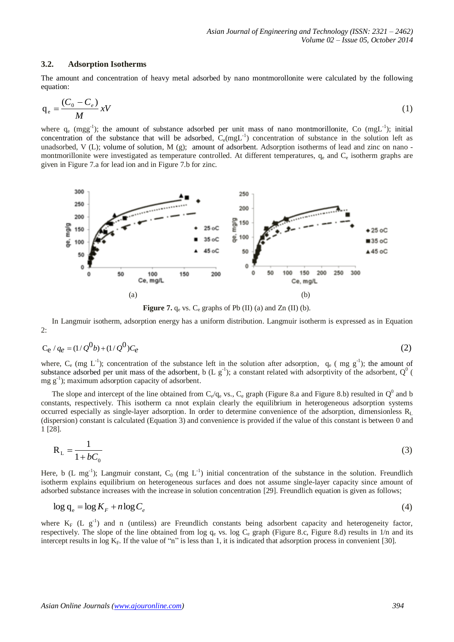#### **3.2. Adsorption Isotherms**

The amount and concentration of heavy metal adsorbed by nano montmorollonite were calculated by the following equation:

$$
q_e = \frac{(C_0 - C_e)}{M} xV
$$
 (1)

where  $q_e$  (mgg<sup>-1</sup>); the amount of substance adsorbed per unit mass of nano montmorillonite, Co (mgL<sup>-1</sup>); initial concentration of the substance that will be adsorbed,  $C_e(mgL^{-1})$  concentration of substance in the solution left as unadsorbed, V (L); volume of solution, M (g); amount of adsorbent. Adsorption isotherms of lead and zinc on nano montmorillonite were investigated as temperature controlled. At different temperatures,  $q_e$  and  $C_e$  isotherm graphs are given in Figure 7.a for lead ion and in Figure 7.b for zinc.



**Figure** 7.  $q_e$  vs.  $C_e$  graphs of Pb (II) (a) and Zn (II) (b).

In Langmuir isotherm, adsorption energy has a uniform distribution. Langmuir isotherm is expressed as in Equation 2:

$$
C_e / q_e = (1/Q^0 b) + (1/Q^0) C_e
$$
 (2)

where,  $C_e$  (mg L<sup>-1</sup>); concentration of the substance left in the solution after adsorption,  $q_e$  (mg g<sup>-1</sup>); the amount of substance adsorbed per unit mass of the adsorbent, b (L  $g^{-1}$ ); a constant related with adsorptivity of the adsorbent,  $Q^{0}$  (  $mg g^{-1}$ ); maximum adsorption capacity of adsorbent.

The slope and intercept of the line obtained from  $C_e/q_e$  vs.,  $C_e$  graph (Figure 8.a and Figure 8.b) resulted in  $Q^0$  and b constants, respectively. This isotherm ca nnot explain clearly the equilibrium in heterogeneous adsorption systems occurred especially as single-layer adsorption. In order to determine convenience of the adsorption, dimensionless  $R_L$ (dispersion) constant is calculated (Equation 3) and convenience is provided if the value of this constant is between 0 and 1 [28].

$$
R_{L} = \frac{1}{1 + bC_0} \tag{3}
$$

Here, b (L mg<sup>-1</sup>); Langmuir constant,  $C_0$  (mg  $L^{-1}$ ) initial concentration of the substance in the solution. Freundlich isotherm explains equilibrium on heterogeneous surfaces and does not assume single-layer capacity since amount of adsorbed substance increases with the increase in solution concentration [29]. Freundlich equation is given as follows;

$$
\log q_e = \log K_F + n \log C_e \tag{4}
$$

where  $K_F$  (L  $g^{-1}$ ) and n (untiless) are Freundlich constants being adsorbent capacity and heterogeneity factor, respectively. The slope of the line obtained from  $\log q_e$  vs.  $\log C_e$  graph (Figure 8.c, Figure 8.d) results in 1/n and its intercept results in log  $K_F$ . If the value of "n" is less than 1, it is indicated that adsorption process in convenient [30].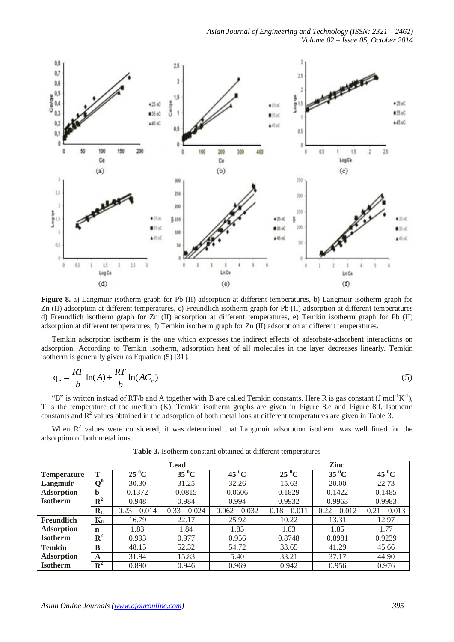

**Figure 8.** a) Langmuir isotherm graph for Pb (II) adsorption at different temperatures, b) Langmuir isotherm graph for Zn (II) adsorption at different temperatures, c) Freundlich isotherm graph for Pb (II) adsorption at different temperatures d) Freundlich isotherm graph for Zn (II) adsorption at different temperatures, e) Temkin isotherm graph for Pb (II) adsorption at different temperatures, f) Temkin isotherm graph for Zn (II) adsorption at different temperatures.

Temkin adsorption isotherm is the one which expresses the indirect effects of adsorbate-adsorbent interactions on adsorption. According to Temkin isotherm, adsorption heat of all molecules in the layer decreases linearly. Temkin isotherm is generally given as Equation (5) [31].

$$
q_e = \frac{RT}{b} \ln(A) + \frac{RT}{b} \ln(AC_e)
$$
\n(5)

"B" is written instead of RT/b and A together with B are called Temkin constants. Here R is gas constant  $(J \text{ mol}^{-1}K^{-1})$ , T is the temperature of the medium (K). Temkin isotherm graphs are given in Figure 8.e and Figure 8.f. Isotherm constants and  $\mathbb{R}^2$  values obtained in the adsorption of both metal ions at different temperatures are given in Table 3.

When  $R<sup>2</sup>$  values were considered, it was determined that Langmuir adsorption isotherm was well fitted for the adsorption of both metal ions.

|                    | Lead           |                |                |                 | Zinc           |                |                |  |
|--------------------|----------------|----------------|----------------|-----------------|----------------|----------------|----------------|--|
| <b>Temperature</b> | T              | $25\,^0C$      | $35\,^0C$      | $45^{\circ}$ C  | $25\,^0C$      | $35\,^0$ C     | $45\,^0$ C     |  |
| Langmuir           | $\mathbf{O}^0$ | 30.30          | 31.25          | 32.26           | 15.63          | 20.00          | 22.73          |  |
| <b>Adsorption</b>  | b              | 0.1372         | 0.0815         | 0.0606          | 0.1829         | 0.1422         | 0.1485         |  |
| <b>Isotherm</b>    | ${\bf R}^2$    | 0.948          | 0.984          | 0.994           | 0.9932         | 0.9963         | 0.9983         |  |
|                    | $R_{L}$        | $0.23 - 0.014$ | $0.33 - 0.024$ | $0.062 - 0.032$ | $0.18 - 0.011$ | $0.22 - 0.012$ | $0.21 - 0.013$ |  |
| <b>Freundlich</b>  | $K_{\rm F}$    | 16.79          | 22.17          | 25.92           | 10.22          | 13.31          | 12.97          |  |
| <b>Adsorption</b>  | $\mathbf n$    | 1.83           | 1.84           | 1.85            | 1.83           | 1.85           | 1.77           |  |
| <b>Isotherm</b>    | ${\bf R}^2$    | 0.993          | 0.977          | 0.956           | 0.8748         | 0.8981         | 0.9239         |  |
| <b>Temkin</b>      | B              | 48.15          | 52.32          | 54.72           | 33.65          | 41.29          | 45.66          |  |
| <b>Adsorption</b>  | A              | 31.94          | 15.83          | 5.40            | 33.21          | 37.17          | 44.90          |  |
| <b>Isotherm</b>    | $\mathbf{R}^2$ | 0.890          | 0.946          | 0.969           | 0.942          | 0.956          | 0.976          |  |

**Table 3.** Isotherm constant obtained at different temperatures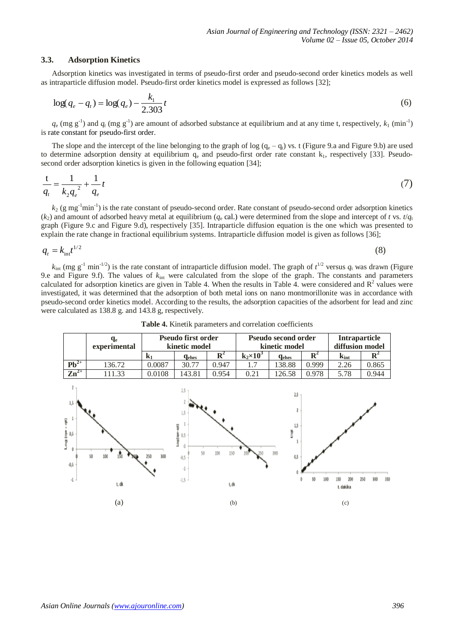#### **3.3. Adsorption Kinetics**

Adsorption kinetics was investigated in terms of pseudo-first order and pseudo-second order kinetics models as well as intraparticle diffusion model. Pseudo-first order kinetics model is expressed as follows [32];

$$
\log(q_e - q_t) = \log(q_e) - \frac{k_1}{2.303}t\tag{6}
$$

 $q_e$  (mg g<sup>-1</sup>) and  $q_t$  (mg g<sup>-1</sup>) are amount of adsorbed substance at equilibrium and at any time t, respectively,  $k_1$  (min<sup>-1</sup>) is rate constant for pseudo-first order.

The slope and the intercept of the line belonging to the graph of log  $(q_e - q_t)$  vs. t (Figure 9.a and Figure 9.b) are used to determine adsorption density at equilibrium  $q_e$  and pseudo-first order rate constant  $k_1$ , respectively [33]. Pseudosecond order adsorption kinetics is given in the following equation [34];

$$
\frac{t}{q_t} = \frac{1}{k_2 q_e^2} + \frac{1}{q_e} t \tag{7}
$$

 $k_2$  (g mg<sup>-1</sup>min<sup>-1</sup>) is the rate constant of pseudo-second order. Rate constant of pseudo-second order adsorption kinetics  $(k_2)$  and amount of adsorbed heavy metal at equilibrium ( $q_e$  cal.) were determined from the slope and intercept of *t* vs.  $t/q_t$ graph (Figure 9.c and Figure 9.d), respectively [35]. Intraparticle diffusion equation is the one which was presented to explain the rate change in fractional equilibrium systems. Intraparticle diffusion model is given as follows [36];

$$
q_t = k_{\rm int} t^{1/2} \tag{8}
$$

 $k_{int}$  (mg g<sup>-1</sup> min<sup>-1/2</sup>) is the rate constant of intraparticle diffusion model. The graph of  $t^{1/2}$  versus  $q_t$  was drawn (Figure 9.e and Figure 9.f). The values of *k*int were calculated from the slope of the graph. The constants and parameters calculated for adsorption kinetics are given in Table 4. When the results in Table 4. were considered and  $R^2$  values were investigated, it was determined that the adsorption of both metal ions on nano montmorillonite was in accordance with pseudo-second order kinetics model. According to the results, the adsorption capacities of the adsorbent for lead and zinc were calculated as 138.8 g. and 143.8 g, respectively.



**Table 4.** Kinetik parameters and correlation coefficients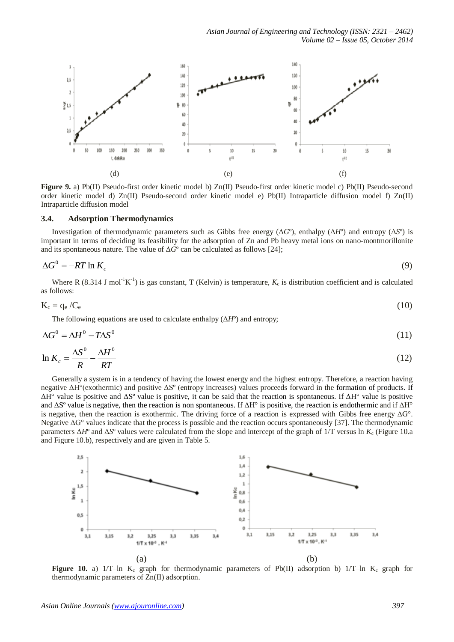

**Figure 9.** a) Pb(II) Pseudo-first order kinetic model b) Zn(II) Pseudo-first order kinetic model c) Pb(II) Pseudo-second order kinetic model d) Zn(II) Pseudo-second order kinetic model e) Pb(II) Intraparticle diffusion model f) Zn(II) Intraparticle diffusion model

## **3.4. Adsorption Thermodynamics**

Investigation of thermodynamic parameters such as Gibbs free energy (Δ*G*º), enthalpy (Δ*H*º) and entropy (Δ*S*º) is important in terms of deciding its feasibility for the adsorption of Zn and Pb heavy metal ions on nano-montmorillonite and its spontaneous nature. The value of  $\Delta G^{\circ}$  can be calculated as follows [24];

$$
\Delta G^0 = -RT \ln K_c \tag{9}
$$

Where R (8.314 J mol<sup>-1</sup>K<sup>-1</sup>) is gas constant, T (Kelvin) is temperature,  $K_c$  is distribution coefficient and is calculated as follows:

$$
K_c = q_e / C_e \tag{10}
$$

The following equations are used to calculate enthalpy  $(\Delta H^{\circ})$  and entropy;

$$
\Delta G^0 = \Delta H^0 - T \Delta S^0 \tag{11}
$$

$$
\ln K_c = \frac{\Delta S^0}{R} - \frac{\Delta H^0}{RT}
$$
\n(12)

Generally a system is in a tendency of having the lowest energy and the highest entropy. Therefore, a reaction having negative ΔH°(exothermic) and positive ΔSº (entropy increases) values proceeds forward in the formation of products. If ΔH° value is positive and ΔSº value is positive, it can be said that the reaction is spontaneous. If ΔH° value is positive and  $\Delta S^{\circ}$  value is negative, then the reaction is non spontaneous. If  $\Delta H^{\circ}$  is positive, the reaction is endothermic and if  $\Delta H^{\circ}$ is negative, then the reaction is exothermic. The driving force of a reaction is expressed with Gibbs free energy  $\Delta G^{\circ}$ . Negative ΔG° values indicate that the process is possible and the reaction occurs spontaneously [37]. The thermodynamic parameters  $\Delta H^{\circ}$  and  $\Delta S^{\circ}$  values were calculated from the slope and intercept of the graph of 1/T versus ln  $K_c$  (Figure 10.a and Figure 10.b), respectively and are given in Table 5.



**Figure** 10. a) 1/T–ln K<sub>c</sub> graph for thermodynamic parameters of Pb(II) adsorption b) 1/T–ln K<sub>c</sub> graph for thermodynamic parameters of Zn(II) adsorption.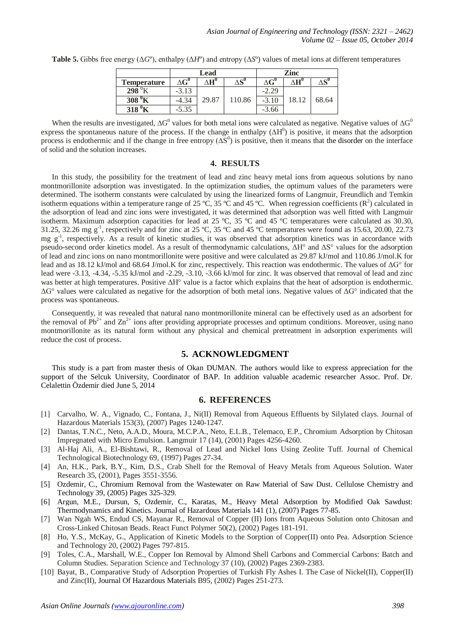|                    | Lead             |                  |                                | Zinc    |       |                                |
|--------------------|------------------|------------------|--------------------------------|---------|-------|--------------------------------|
| <b>Temperature</b> | $\Delta G^{\nu}$ | $\Delta H^{\nu}$ | $\Delta \textbf{S}^\textbf{0}$ | ΔG      |       | $\Delta \textbf{S}^{\text{v}}$ |
| 298                | $-3.13$          |                  |                                | $-2.29$ |       |                                |
| 308<br>A           | $-4.34$          | 29.87            | 110.86                         | $-3.10$ | 18.12 | 68.64                          |
| 318                | $-5.35$          |                  |                                | $-3.66$ |       |                                |

**Table 5.** Gibbs free energy ( $\Delta G^{\circ}$ ), enthalpy ( $\Delta H^{\circ}$ ) and entropy ( $\Delta S^{\circ}$ ) values of metal ions at different temperatures

When the results are investigated,  $\Delta G^0$  values for both metal ions were calculated as negative. Negative values of  $\Delta G^0$ express the spontaneous nature of the process. If the change in enthalpy  $(\Delta H^0)$  is positive, it means that the adsorption process is endothermic and if the change in free entropy  $(\Delta S^0)$  is positive, then it means that the disorder on the interface of solid and the solution increases.

## **4. RESULTS**

In this study, the possibility for the treatment of lead and zinc heavy metal ions from aqueous solutions by nano montmorillonite adsorption was investigated. In the optimization studies, the optimum values of the parameters were determined. The isotherm constants were calculated by using the linearized forms of Langmuir, Freundlich and Temkin isotherm equations within a temperature range of 25 °C, 35 °C and 45 °C. When regression coefficients  $(R^2)$  calculated in the adsorption of lead and zinc ions were investigated, it was determined that adsorption was well fitted with Langmuir isotherm. Maximum adsorption capacities for lead at 25 ºC, 35 ºC and 45 ºC temperatures were calculated as 30.30, 31.25, 32.26 mg  $g^{-1}$ , respectively and for zinc at 25 °C, 35 °C and 45 °C temperatures were found as 15.63, 20.00, 22.73 mg g<sup>-1</sup>, respectively. As a result of kinetic studies, it was observed that adsorption kinetics was in accordance with pseudo-second order kinetics model. As a result of thermodynamic calculations, ΔH° and ΔS° values for the adsorption of lead and zinc ions on nano montmorillonite were positive and were calculated as 29.87 kJ/mol and 110.86 J/mol.K for lead and as 18.12 kJ/mol and 68.64 J/mol.K for zinc, respectively. This reaction was endothermic. The values of ΔG° for lead were -3.13, -4.34, -5.35 kJ/mol and -2.29, -3.10, -3.66 kJ/mol for zinc. It was observed that removal of lead and zinc was better at high temperatures. Positive ΔH° value is a factor which explains that the heat of adsorption is endothermic.  $\Delta$ G° values were calculated as negative for the adsorption of both metal ions. Negative values of  $\Delta$ G° indicated that the process was spontaneous.

Consequently, it was revealed that natural nano montmorillonite mineral can be effectively used as an adsorbent for the removal of  $Pb^{2+}$  and  $Zn^{2+}$  ions after providing appropriate processes and optimum conditions. Moreover, using nano montmorillonite as its natural form without any physical and chemical pretreatment in adsorption experiments will reduce the cost of process.

# **5. ACKNOWLEDGMENT**

This study is a part from master thesis of Okan DUMAN. The authors would like to express appreciation for the support of the Selcuk University, Coordinator of BAP. In addition valuable academic researcher Assoc. Prof. Dr. Celalettin Özdemir died June 5, 2014

## **6. REFERENCES**

- [1] Carvalho, W. A., Vignado, C., Fontana, J., Ni(II) Removal from Aqueous Effluents by Silylated clays. Journal of Hazardous Materials 153(3), (2007) Pages 1240-1247.
- [2] Dantas, T.N.C., Neto, A.A.D., Moura, M.C.P.A., Neto, E.L.B., Telemaco, E.P., Chromium Adsorption by Chitosan Impregnated with Micro Emulsion. Langmuir 17 (14), (2001) Pages 4256-4260.
- [3] Al-Haj Ali, A., El-Bishtawi, R., Removal of Lead and Nickel Ions Using Zeolite Tuff. Journal of Chemical Technological Biotechnology 69, (1997) Pages 27-34.
- [4] An, H.K., Park, B.Y., Kim, D.S., Crab Shell for the Removal of Heavy Metals from Aqueous Solution. Water Research 35, (2001), Pages 3551-3556.
- [5] Ozdemir, C., Chromium Removal from the Wastewater on Raw Material of Saw Dust. Cellulose Chemistry and Technology 39, (2005) Pages 325-329.
- [6] [Argun, M.](http://apps.webofknowledge.com/DaisyOneClickSearch.do?product=WOS&search_mode=DaisyOneClickSearch&colName=WOS&SID=4CIAafPcmd@988PmP2g&author_name=Argun,%20ME&dais_id=2697672)E., [Dursun, S,](http://apps.webofknowledge.com/DaisyOneClickSearch.do?product=WOS&search_mode=DaisyOneClickSearch&colName=WOS&SID=4CIAafPcmd@988PmP2g&author_name=Dursun,%20S&dais_id=11223092) Ozdemir, C., [Karatas, M., H](http://apps.webofknowledge.com/DaisyOneClickSearch.do?product=WOS&search_mode=DaisyOneClickSearch&colName=WOS&SID=4CIAafPcmd@988PmP2g&author_name=Karatas,%20M&dais_id=11794595)eavy Metal Adsorption by Modified Oak Sawdust: Thermodynamics and Kinetics. Journal of Hazardous Materials 141 (1), (2007) Pages 77-85.
- [7] Wan Ngah WS, Endud CS, Mayanar R., Removal of Copper (II) Ions from Aqueous Solution onto Chitosan and Cross-Linked Chitosan Beads. React Funct Polymer 50(2), (2002) Pages 181-191.
- [8] Ho, Y.S., McKay, G., Application of Kinetic Models to the Sorption of Copper(II) onto Pea. Adsorption Science and Technology 20, (2002) Pages 797-815.
- [9] Toles, C.A., Marshall, W.E., Copper Ion Removal by Almond Shell Carbons and Commercial Carbons: Batch and Column Studies. Separation Science and Technology 37 (10), (2002) Pages 2369-2383.
- [10] Bayat, B., Comparative Study of Adsorption Properties of Turkish Fly Ashes I. The Case of Nickel(II), Copper(II) and Zinc(II), Journal Of Hazardous Materials B95, (2002) Pages 251-273.